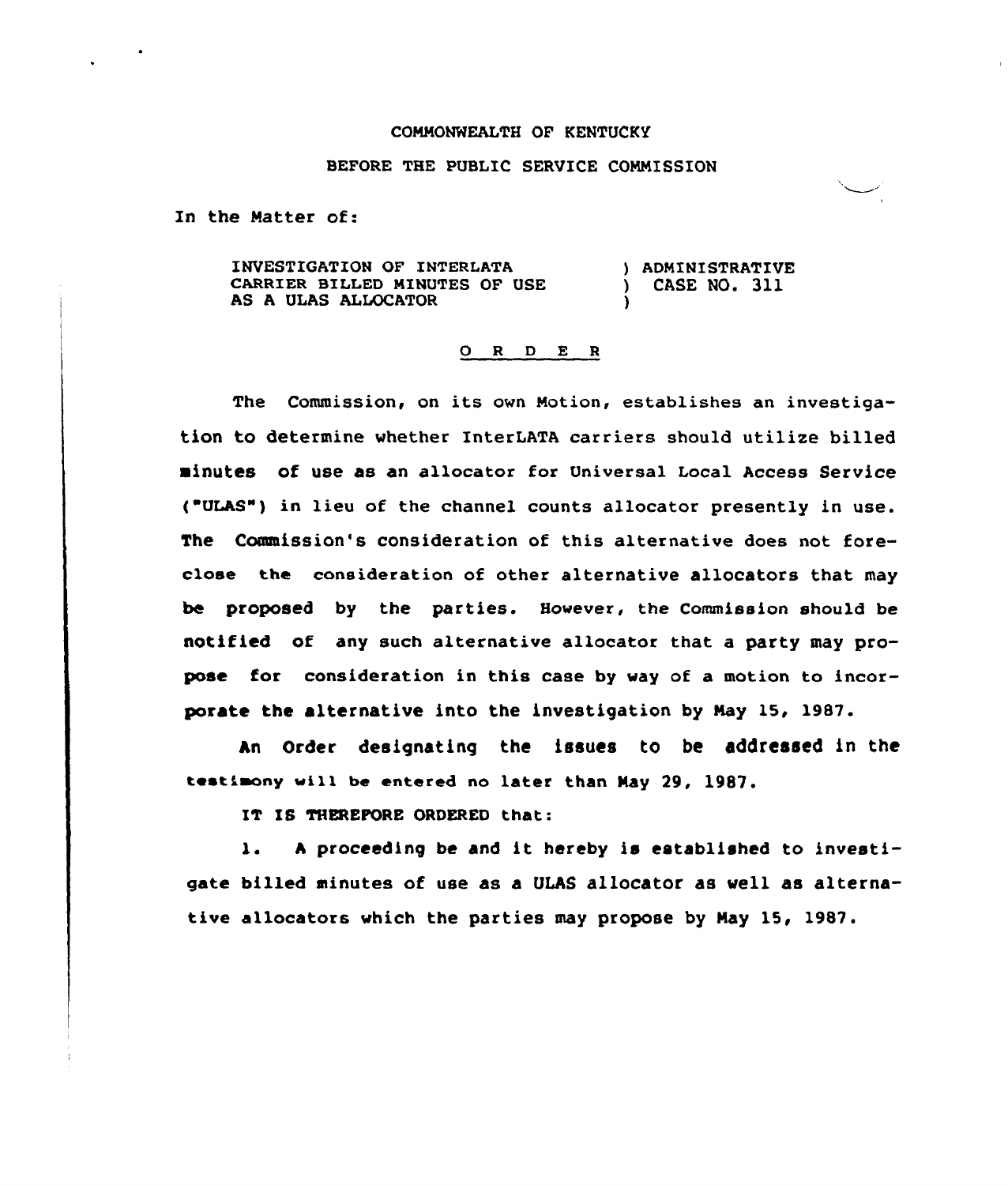## CONNONWEALTH OF KENTUCKY

## BEFORE THE PUBLIC SERVICE CONNISSION

In the Natter of:

INVESTIGATION OF INTERLATA CARRIER BILLED NINUTES OF USE AS A ULAS ALLOCATOR ) ADMINISTRATIVE ) CASE NO. 311 )

## 0 <sup>R</sup> <sup>D</sup> E <sup>R</sup>

The Commission, on its own Notion, establishes an investigation to determine whether InterLATA carriers should utilize billed minutes of use as an allocator for Universal Local Access Service ("ULAS") in lieu of the channel counts allocator presently in use. The Commission's consideration of this alternative does not foreclose the consideration of other alternative allocators that may be proposed by the parties. However, the Commission should be notified of any such alternative allocatox that a party may propose for consideration in this case by way of a motion to incorporate the alternative into the investigation by Nay 15, 1987.

An Order designating the issues to be addressed in the testimony will be entered no later than May 29, 1987.

IT IS THEREFORE ORDERED that:

l. <sup>A</sup> proceeding be and it hereby is established to investigate billed minutes of use as a ULAS allocator as well as alternative allocators which the parties may propose by Nay 15, 1987.